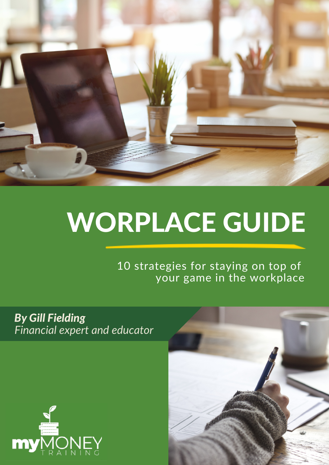

## WORPLACE GUIDE

10 strategies for staying on top of your game in the workplace

*By Gill Fielding Financial expert and educator*



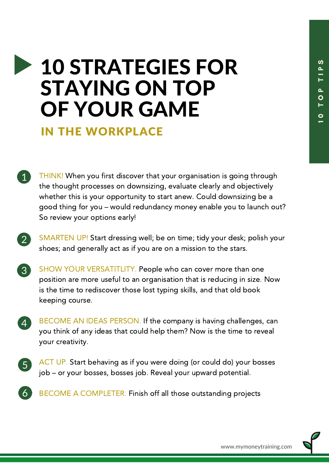$\overline{\phantom{0}}$ 

## 10 STRATEGIES FOR STAYING ON TOP OF YOUR GAME

IN THE WORKPLACE

2

4

- THINK! When you first discover that your organisation is going through the thought processes on downsizing, evaluate clearly and objectively whether this is your opportunity to start anew. Could downsizing be a good thing for you – would redundancy money enable you to launch out? So review your options early!
- SMARTEN UP! Start dressing well; be on time; tidy your desk; polish your shoes; and generally act as if you are on a mission to the stars.
- SHOW YOUR VERSATITLITY. People who can cover more than one position are more useful to an organisation that is reducing in size. Now is the time to rediscover those lost typing skills, and that old book keeping course. 3
	- BECOME AN IDEAS PERSON. If the company is having challenges, can you think of any ideas that could help them? Now is the time to reveal your creativity.
- ACT UP. Start behaving as if you were doing (or could do) your bosses job – or your bosses, bosses job. Reveal your upward potential.  $\left(5\right)$
- BECOME A COMPLETER. Finish off all those outstanding projects 6